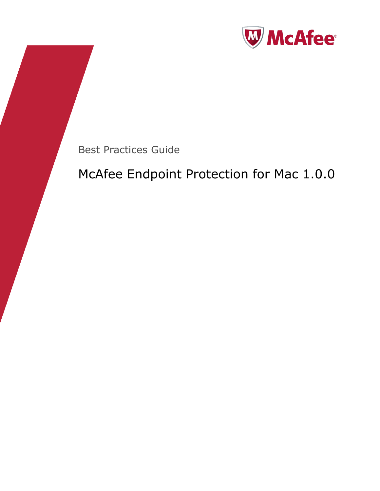

Best Practices Guide

# McAfee Endpoint Protection for Mac 1.0.0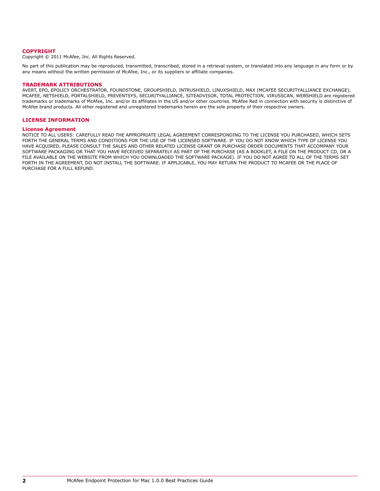#### **COPYRIGHT**

Copyright © 2011 McAfee, Inc. All Rights Reserved.

No part of this publication may be reproduced, transmitted, transcribed, stored in a retrieval system, or translated into any language in any form or by any means without the written permission of McAfee, Inc., or its suppliers or affiliate companies.

#### **TRADEMARK ATTRIBUTIONS**

AVERT, EPO, EPOLICY ORCHESTRATOR, FOUNDSTONE, GROUPSHIELD, INTRUSHIELD, LINUXSHIELD, MAX (MCAFEE SECURITYALLIANCE EXCHANGE), MCAFEE, NETSHIELD, PORTALSHIELD, PREVENTSYS, SECURITYALLIANCE, SITEADVISOR, TOTAL PROTECTION, VIRUSSCAN, WEBSHIELD are registered trademarks or trademarks of McAfee, Inc. and/or its affiliates in the US and/or other countries. McAfee Red in connection with security is distinctive of McAfee brand products. All other registered and unregistered trademarks herein are the sole property of their respective owners.

#### **LICENSE INFORMATION**

#### **License Agreement**

NOTICE TO ALL USERS: CAREFULLY READ THE APPROPRIATE LEGAL AGREEMENT CORRESPONDING TO THE LICENSE YOU PURCHASED, WHICH SETS FORTH THE GENERAL TERMS AND CONDITIONS FOR THE USE OF THE LICENSED SOFTWARE. IF YOU DO NOT KNOW WHICH TYPE OF LICENSE YOU HAVE ACQUIRED, PLEASE CONSULT THE SALES AND OTHER RELATED LICENSE GRANT OR PURCHASE ORDER DOCUMENTS THAT ACCOMPANY YOUR SOFTWARE PACKAGING OR THAT YOU HAVE RECEIVED SEPARATELY AS PART OF THE PURCHASE (AS A BOOKLET, A FILE ON THE PRODUCT CD, OR A FILE AVAILABLE ON THE WEBSITE FROM WHICH YOU DOWNLOADED THE SOFTWARE PACKAGE). IF YOU DO NOT AGREE TO ALL OF THE TERMS SET FORTH IN THE AGREEMENT, DO NOT INSTALL THE SOFTWARE. IF APPLICABLE, YOU MAY RETURN THE PRODUCT TO MCAFEE OR THE PLACE OF PURCHASE FOR A FULL REFUND.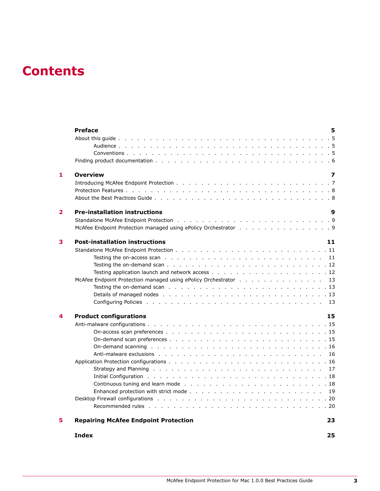## **Contents**

|                         | <b>Preface</b><br>5                                                                                                                                                                                                            |
|-------------------------|--------------------------------------------------------------------------------------------------------------------------------------------------------------------------------------------------------------------------------|
|                         |                                                                                                                                                                                                                                |
|                         |                                                                                                                                                                                                                                |
|                         |                                                                                                                                                                                                                                |
|                         |                                                                                                                                                                                                                                |
| 1                       | <b>Overview</b><br>7                                                                                                                                                                                                           |
|                         |                                                                                                                                                                                                                                |
|                         |                                                                                                                                                                                                                                |
|                         |                                                                                                                                                                                                                                |
| $\overline{\mathbf{2}}$ | <b>Pre-installation instructions</b><br>9                                                                                                                                                                                      |
|                         |                                                                                                                                                                                                                                |
|                         | McAfee Endpoint Protection managed using ePolicy Orchestrator 9                                                                                                                                                                |
| 3                       | <b>Post-installation instructions</b><br>11                                                                                                                                                                                    |
|                         |                                                                                                                                                                                                                                |
|                         |                                                                                                                                                                                                                                |
|                         |                                                                                                                                                                                                                                |
|                         |                                                                                                                                                                                                                                |
|                         | McAfee Endpoint Protection managed using ePolicy Orchestrator 13                                                                                                                                                               |
|                         | Testing the on-demand scan resolution of the contract of the contract of the contract of the contract of the contract of the contract of the contract of the contract of the contract of the contract of the contract of the c |
|                         |                                                                                                                                                                                                                                |
|                         |                                                                                                                                                                                                                                |
| 4                       | 15<br><b>Product configurations</b>                                                                                                                                                                                            |
|                         |                                                                                                                                                                                                                                |
|                         |                                                                                                                                                                                                                                |
|                         |                                                                                                                                                                                                                                |
|                         | On-demand scanning resources and contact the contract of the contract of the contract of the contract of the contract of the contract of the contract of the contract of the contract of the contract of the contract of the c |
|                         |                                                                                                                                                                                                                                |
|                         |                                                                                                                                                                                                                                |
|                         |                                                                                                                                                                                                                                |
|                         |                                                                                                                                                                                                                                |
|                         |                                                                                                                                                                                                                                |
|                         |                                                                                                                                                                                                                                |
|                         |                                                                                                                                                                                                                                |
|                         |                                                                                                                                                                                                                                |
| 5                       | <b>Repairing McAfee Endpoint Protection</b><br>23                                                                                                                                                                              |
|                         |                                                                                                                                                                                                                                |

**[Index](#page-24-0) 25**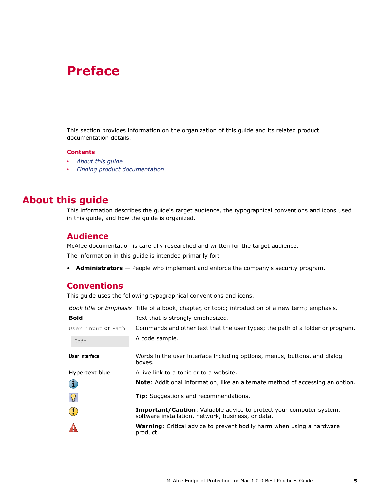## <span id="page-4-0"></span>**Preface**

This section provides information on the organization of this guide and its related product documentation details.

#### **Contents**

- *About this guide*
- *[Finding product documentation](#page-5-0)*

## **About this guide**

This information describes the guide's target audience, the typographical conventions and icons used in this guide, and how the guide is organized.

#### **Audience**

McAfee documentation is carefully researched and written for the target audience.

The information in this guide is intended primarily for:

• **Administrators** — People who implement and enforce the company's security program.

#### **Conventions**

This guide uses the following typographical conventions and icons.

*Book title* or *Emphasis* Title of a book, chapter, or topic; introduction of a new term; emphasis.

| <b>Bold</b>          | Text that is strongly emphasized.                                                                                                |
|----------------------|----------------------------------------------------------------------------------------------------------------------------------|
| User input Or Path   | Commands and other text that the user types; the path of a folder or program.                                                    |
| Code                 | A code sample.                                                                                                                   |
| User interface       | Words in the user interface including options, menus, buttons, and dialog<br>boxes.                                              |
| Hypertext blue       | A live link to a topic or to a website.                                                                                          |
| $\bf(i)$             | <b>Note:</b> Additional information, like an alternate method of accessing an option.                                            |
| $\vert \Omega \vert$ | <b>Tip:</b> Suggestions and recommendations.                                                                                     |
| $\bigodot$           | <b>Important/Caution:</b> Valuable advice to protect your computer system,<br>software installation, network, business, or data. |
|                      | <b>Warning:</b> Critical advice to prevent bodily harm when using a hardware<br>product.                                         |
|                      |                                                                                                                                  |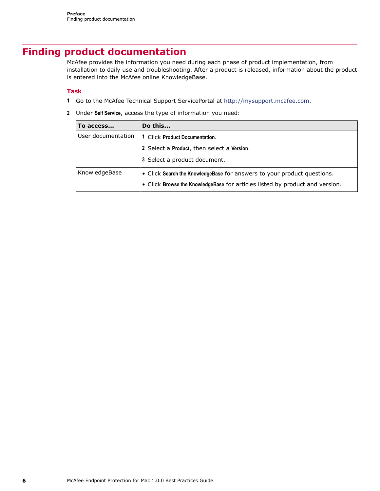## <span id="page-5-0"></span>**Finding product documentation**

McAfee provides the information you need during each phase of product implementation, from installation to daily use and troubleshooting. After a product is released, information about the product is entered into the McAfee online KnowledgeBase.

#### **Task**

- **1** Go to the McAfee Technical Support ServicePortal at<http://mysupport.mcafee.com>.
- **2** Under **Self Service**, access the type of information you need:

| To access          | Do this                                                                      |
|--------------------|------------------------------------------------------------------------------|
| User documentation | 1 Click Product Documentation.                                               |
|                    | 2 Select a Product, then select a Version.                                   |
|                    | 3 Select a product document.                                                 |
| KnowledgeBase      | • Click Search the Knowledge Base for answers to your product questions.     |
|                    | • Click Browse the KnowledgeBase for articles listed by product and version. |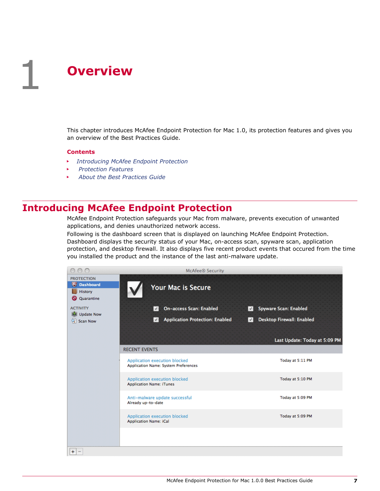<span id="page-6-0"></span>This chapter introduces McAfee Endpoint Protection for Mac 1.0, its protection features and gives you an overview of the Best Practices Guide.

#### **Contents**

- *Introducing McAfee Endpoint Protection*
- *[Protection Features](#page-7-0)*
- *[About the Best Practices Guide](#page-7-0)*

## **Introducing McAfee Endpoint Protection**

McAfee Endpoint Protection safeguards your Mac from malware, prevents execution of unwanted applications, and denies unauthorized network access.

Following is the dashboard screen that is displayed on launching McAfee Endpoint Protection. Dashboard displays the security status of your Mac, on-access scan, spyware scan, application protection, and desktop firewall. It also displays five recent product events that occured from the time you installed the product and the instance of the last anti-malware update.

|                                                                                  | <b>McAfee® Security</b>                                                      |              |                               |
|----------------------------------------------------------------------------------|------------------------------------------------------------------------------|--------------|-------------------------------|
| <b>PROTECTION</b><br><b>W</b> Dashboard<br><b>History</b><br><b>Q</b> Quarantine | <b>Your Mac is Secure</b>                                                    |              |                               |
| <b>ACTIVITY</b>                                                                  | <b>On-access Scan: Enabled</b><br>$\vee$                                     | $\checkmark$ | Spyware Scan: Enabled         |
| <b>Kall</b> Update Now<br><b>Q</b> Scan Now                                      | <b>Application Protection: Enabled</b><br>$\vee$                             | $\checkmark$ | Desktop Firewall: Enabled     |
|                                                                                  |                                                                              |              | Last Update: Today at 5:09 PM |
|                                                                                  | <b>RECENT EVENTS</b>                                                         |              |                               |
|                                                                                  | Application execution blocked<br><b>Application Name: System Preferences</b> |              | Today at 5:11 PM              |
|                                                                                  | Application execution blocked<br><b>Application Name: iTunes</b>             |              | Today at 5:10 PM              |
|                                                                                  | Anti-malware update successful<br>Already up-to-date                         |              | Today at 5:09 PM              |
|                                                                                  | Application execution blocked<br><b>Application Name: iCal</b>               |              | Today at 5:09 PM              |
|                                                                                  |                                                                              |              |                               |
| $+$<br>$\sim$                                                                    |                                                                              |              |                               |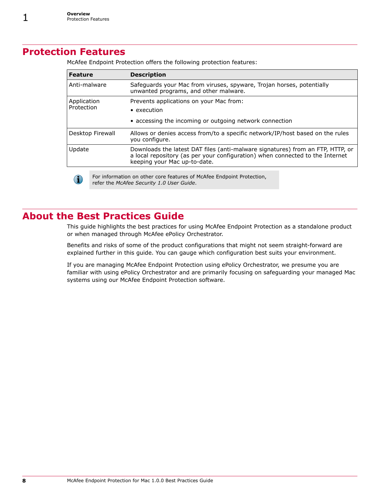## <span id="page-7-0"></span>**Protection Features**

| <b>Feature</b>            |  | <b>Description</b>                                                                                                                                                                              |  |  |
|---------------------------|--|-------------------------------------------------------------------------------------------------------------------------------------------------------------------------------------------------|--|--|
| Anti-malware              |  | Safeguards your Mac from viruses, spyware, Trojan horses, potentially<br>unwanted programs, and other malware.                                                                                  |  |  |
| Application<br>Protection |  | Prevents applications on your Mac from:                                                                                                                                                         |  |  |
|                           |  | $\bullet$ execution                                                                                                                                                                             |  |  |
|                           |  | • accessing the incoming or outgoing network connection                                                                                                                                         |  |  |
| Desktop Firewall          |  | Allows or denies access from/to a specific network/IP/host based on the rules<br>you configure.                                                                                                 |  |  |
| Update                    |  | Downloads the latest DAT files (anti-malware signatures) from an FTP, HTTP, or<br>a local repository (as per your configuration) when connected to the Internet<br>keeping your Mac up-to-date. |  |  |
|                           |  | For information on other core features of McAfee Endpoint Protection,<br>refer the McAfee Security 1 0 Hear Guide                                                                               |  |  |

McAfee Endpoint Protection offers the following protection features:

refer the *McAfee Security 1.0 User Guide*.

## **About the Best Practices Guide**

This guide highlights the best practices for using McAfee Endpoint Protection as a standalone product or when managed through McAfee ePolicy Orchestrator.

Benefits and risks of some of the product configurations that might not seem straight-forward are explained further in this guide. You can gauge which configuration best suits your environment.

If you are managing McAfee Endpoint Protection using ePolicy Orchestrator, we presume you are familiar with using ePolicy Orchestrator and are primarily focusing on safeguarding your managed Mac systems using our McAfee Endpoint Protection software.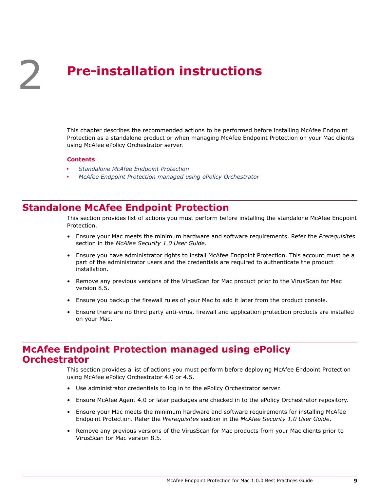# <span id="page-8-0"></span>2 **Pre-installation instructions**

This chapter describes the recommended actions to be performed before installing McAfee Endpoint Protection as a standalone product or when managing McAfee Endpoint Protection on your Mac clients using McAfee ePolicy Orchestrator server.

#### **Contents**

- *Standalone McAfee Endpoint Protection*
- *McAfee Endpoint Protection managed using ePolicy Orchestrator*

## **Standalone McAfee Endpoint Protection**

This section provides list of actions you must perform before installing the standalone McAfee Endpoint Protection.

- Ensure your Mac meets the minimum hardware and software requirements. Refer the *Prerequisites* section in the *McAfee Security 1.0 User Guide*.
- Ensure you have administrator rights to install McAfee Endpoint Protection. This account must be a part of the administrator users and the credentials are required to authenticate the product installation.
- Remove any previous versions of the VirusScan for Mac product prior to the VirusScan for Mac version 8.5.
- Ensure you backup the firewall rules of your Mac to add it later from the product console.
- Ensure there are no third party anti-virus, firewall and application protection products are installed on your Mac.

## **McAfee Endpoint Protection managed using ePolicy Orchestrator**

This section provides a list of actions you must perform before deploying McAfee Endpoint Protection using McAfee ePolicy Orchestrator 4.0 or 4.5.

- Use administrator credentials to log in to the ePolicy Orchestrator server.
- Ensure McAfee Agent 4.0 or later packages are checked in to the ePolicy Orchestrator repository.
- Ensure your Mac meets the minimum hardware and software requirements for installing McAfee Endpoint Protection. Refer the *Prerequisites* section in the *McAfee Security 1.0 User Guide*.
- Remove any previous versions of the VirusScan for Mac products from your Mac clients prior to VirusScan for Mac version 8.5.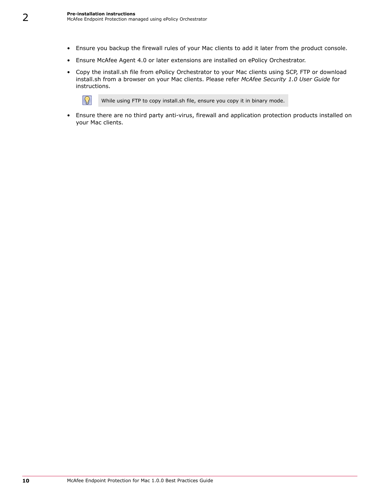$|\Omega|$ 

- Ensure you backup the firewall rules of your Mac clients to add it later from the product console.
- Ensure McAfee Agent 4.0 or later extensions are installed on ePolicy Orchestrator.
- Copy the install.sh file from ePolicy Orchestrator to your Mac clients using SCP, FTP or download install.sh from a browser on your Mac clients. Please refer *McAfee Security 1.0 User Guide* for instructions.

While using FTP to copy install.sh file, ensure you copy it in binary mode.

• Ensure there are no third party anti-virus, firewall and application protection products installed on your Mac clients.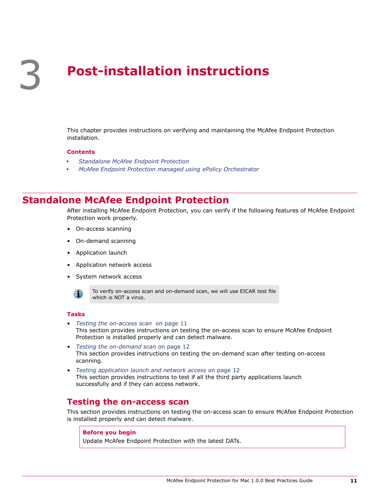# <span id="page-10-0"></span>3 **Post-installation instructions**

This chapter provides instructions on verifying and maintaining the McAfee Endpoint Protection installation.

#### **Contents**

- *Standalone McAfee Endpoint Protection*
- *[McAfee Endpoint Protection managed using ePolicy Orchestrator](#page-12-0)*

## **Standalone McAfee Endpoint Protection**

After installing McAfee Endpoint Protection, you can verify if the following features of McAfee Endpoint Protection work properly.

- On-access scanning
- On-demand scanning
- Application launch
- Application network access
- System network access

 $\bf(i)$ 

To verify on-access scan and on-demand scan, we will use EICAR test file which is NOT a virus.

#### **Tasks**

- *Testing the on-access scan* on page 11 This section provides instructions on testing the on-access scan to ensure McAfee Endpoint Protection is installed properly and can detect malware.
- *[Testing the on-demand scan](#page-11-0)* on page 12 This section provides instructions on testing the on-demand scan after testing on-access scanning.
- *[Testing application launch and network access](#page-11-0)* on page 12 This section provides instructions to test if all the third party applications launch successfully and if they can access network.

#### **Testing the on-access scan**

This section provides instructions on testing the on-access scan to ensure McAfee Endpoint Protection is installed properly and can detect malware.

#### **Before you begin**

Update McAfee Endpoint Protection with the latest DATs.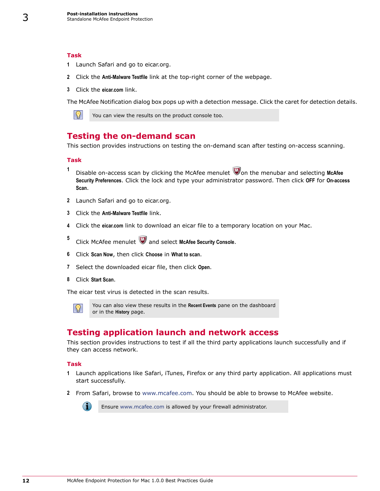#### **Task**

<span id="page-11-0"></span>3

- **1** Launch Safari and go to eicar.org.
- **2** Click the **Anti-Malware Testfile** link at the top-right corner of the webpage.
- **3** Click the **eicar.com** link.

The McAfee Notification dialog box pops up with a detection message. Click the caret for detection details.



You can view the results on the product console too.

#### **Testing the on-demand scan**

This section provides instructions on testing the on-demand scan after testing on-access scanning.

#### **Task**

- **1** Disable on-access scan by clicking the McAfee menulet **W**on the menubar and selecting McAfee **Security Preferences**. Click the lock and type your administrator password. Then click **OFF** for **On-access Scan**.
- **2** Launch Safari and go to eicar.org.
- **3** Click the **Anti-Malware Testfile** link.
- **4** Click the **eicar.com** link to download an eicar file to a temporary location on your Mac.
- **5** Click McAfee menulet and select **McAfee Security Console**.
- **6** Click **Scan Now**, then click **Choose** in **What to scan**.
- **7** Select the downloaded eicar file, then click **Open**.
- **8** Click **Start Scan**.

The eicar test virus is detected in the scan results.



You can also view these results in the **Recent Events** pane on the dashboard or in the **History** page.

### **Testing application launch and network access**

This section provides instructions to test if all the third party applications launch successfully and if they can access network.

#### **Task**

- **1** Launch applications like Safari, iTunes, Firefox or any third party application. All applications must start successfully.
- **2** From Safari, browse to [www.mcafee.com](http://www.mcafee.com). You should be able to browse to McAfee website.



Ensure [www.mcafee.com](http://www.mcafee.com) is allowed by your firewall administrator.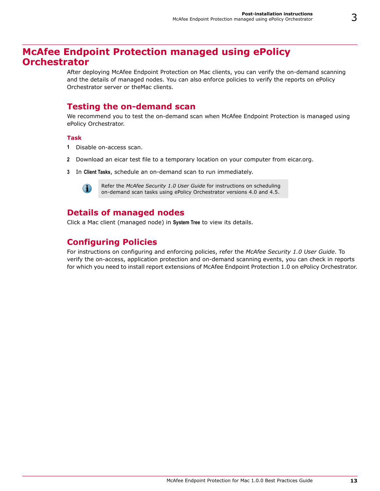## <span id="page-12-0"></span>**McAfee Endpoint Protection managed using ePolicy Orchestrator**

After deploying McAfee Endpoint Protection on Mac clients, you can verify the on-demand scanning and the details of managed nodes. You can also enforce policies to verify the reports on ePolicy Orchestrator server or theMac clients.

## **Testing the on-demand scan**

We recommend you to test the on-demand scan when McAfee Endpoint Protection is managed using ePolicy Orchestrator.

#### **Task**

- **1** Disable on-access scan.
- **2** Download an eicar test file to a temporary location on your computer from eicar.org.
- **3** In **Client Tasks**, schedule an on-demand scan to run immediately.



Refer the *McAfee Security 1.0 User Guide* for instructions on scheduling on-demand scan tasks using ePolicy Orchestrator versions 4.0 and 4.5.

## **Details of managed nodes**

Click a Mac client (managed node) in **System Tree** to view its details.

## **Configuring Policies**

For instructions on configuring and enforcing policies, refer the *McAfee Security 1.0 User Guide*. To verify the on-access, application protection and on-demand scanning events, you can check in reports for which you need to install report extensions of McAfee Endpoint Protection 1.0 on ePolicy Orchestrator.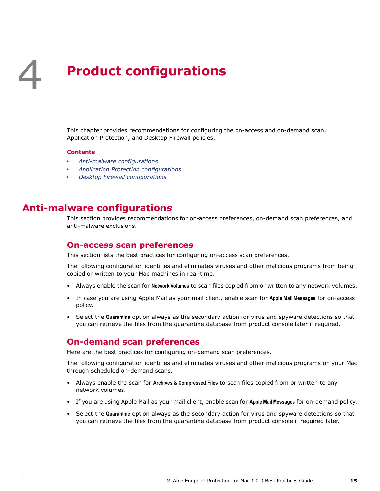# <span id="page-14-0"></span>4 **Product configurations**

This chapter provides recommendations for configuring the on-access and on-demand scan, Application Protection, and Desktop Firewall policies.

#### **Contents**

- *Anti-malware configurations*
- *[Application Protection configurations](#page-15-0)*
- *[Desktop Firewall configurations](#page-19-0)*

## **Anti-malware configurations**

This section provides recommendations for on-access preferences, on-demand scan preferences, and anti-malware exclusions.

#### **On-access scan preferences**

This section lists the best practices for configuring on-access scan preferences.

The following configuration identifies and eliminates viruses and other malicious programs from being copied or written to your Mac machines in real-time.

- Always enable the scan for **Network Volumes** to scan files copied from or written to any network volumes.
- In case you are using Apple Mail as your mail client, enable scan for **Apple Mail Messages** for on-access policy.
- Select the **Quarantine** option always as the secondary action for virus and spyware detections so that you can retrieve the files from the quarantine database from product console later if required.

#### **On-demand scan preferences**

Here are the best practices for configuring on-demand scan preferences.

The following configuration identifies and eliminates viruses and other malicious programs on your Mac through scheduled on-demand scans.

- Always enable the scan for **Archives & Compressed Files** to scan files copied from or written to any network volumes.
- If you are using Apple Mail as your mail client, enable scan for **Apple Mail Messages** for on-demand policy.
- Select the **Quarantine** option always as the secondary action for virus and spyware detections so that you can retrieve the files from the quarantine database from product console if required later.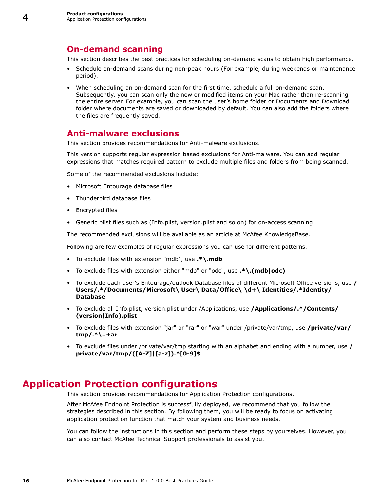### <span id="page-15-0"></span>**On-demand scanning**

This section describes the best practices for scheduling on-demand scans to obtain high performance.

- Schedule on-demand scans during non-peak hours (For example, during weekends or maintenance period).
- When scheduling an on-demand scan for the first time, schedule a full on-demand scan. Subsequently, you can scan only the new or modified items on your Mac rather than re-scanning the entire server. For example, you can scan the user's home folder or Documents and Download folder where documents are saved or downloaded by default. You can also add the folders where the files are frequently saved.

## **Anti-malware exclusions**

This section provides recommendations for Anti-malware exclusions.

This version supports regular expression based exclusions for Anti-malware. You can add regular expressions that matches required pattern to exclude multiple files and folders from being scanned.

Some of the recommended exclusions include:

- Microsoft Entourage database files
- Thunderbird database files
- Encrypted files
- Generic plist files such as (Info.plist, version.plist and so on) for on-access scanning

The recommended exclusions will be available as an article at McAfee KnowledgeBase.

Following are few examples of regular expressions you can use for different patterns.

- To exclude files with extension "mdb", use **.\*\.mdb**
- To exclude files with extension either "mdb" or "odc", use **.\*\.(mdb|odc)**
- To exclude each user's Entourage/outlook Database files of different Microsoft Office versions, use **/ Users/.\*/Documents/Microsoft\ User\ Data/Office\ \d+\ Identities/.\*Identity/ Database**
- To exclude all Info.plist, version.plist under /Applications, use **/Applications/.\*/Contents/ (version|Info).plist**
- To exclude files with extension "jar" or "rar" or "war" under /private/var/tmp, use **/private/var/ tmp/.\*\..+ar**
- To exclude files under /private/var/tmp starting with an alphabet and ending with a number, use **/ private/var/tmp/([A-Z]|[a-z]).\*[0-9]\$**

## **Application Protection configurations**

This section provides recommendations for Application Protection configurations.

After McAfee Endpoint Protection is successfully deployed, we recommend that you follow the strategies described in this section. By following them, you will be ready to focus on activating application protection function that match your system and business needs.

You can follow the instructions in this section and perform these steps by yourselves. However, you can also contact McAfee Technical Support professionals to assist you.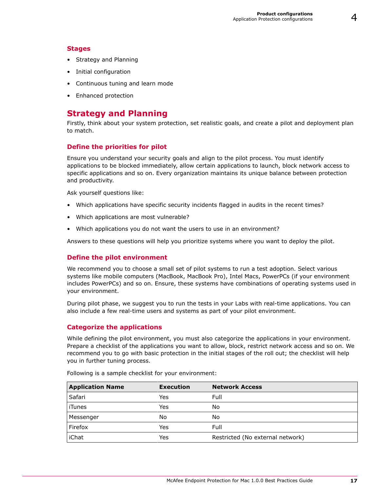#### <span id="page-16-0"></span>**Stages**

- Strategy and Planning
- Initial configuration
- Continuous tuning and learn mode
- Enhanced protection

### **Strategy and Planning**

Firstly, think about your system protection, set realistic goals, and create a pilot and deployment plan to match.

#### **Define the priorities for pilot**

Ensure you understand your security goals and align to the pilot process. You must identify applications to be blocked immediately, allow certain applications to launch, block network access to specific applications and so on. Every organization maintains its unique balance between protection and productivity.

Ask yourself questions like:

- Which applications have specific security incidents flagged in audits in the recent times?
- Which applications are most vulnerable?
- Which applications you do not want the users to use in an environment?

Answers to these questions will help you prioritize systems where you want to deploy the pilot.

#### **Define the pilot environment**

We recommend you to choose a small set of pilot systems to run a test adoption. Select various systems like mobile computers (MacBook, MacBook Pro), Intel Macs, PowerPCs (if your environment includes PowerPCs) and so on. Ensure, these systems have combinations of operating systems used in your environment.

During pilot phase, we suggest you to run the tests in your Labs with real-time applications. You can also include a few real-time users and systems as part of your pilot environment.

#### **Categorize the applications**

While defining the pilot environment, you must also categorize the applications in your environment. Prepare a checklist of the applications you want to allow, block, restrict network access and so on. We recommend you to go with basic protection in the initial stages of the roll out; the checklist will help you in further tuning process.

| <b>Application Name</b> | <b>Execution</b> | <b>Network Access</b>            |
|-------------------------|------------------|----------------------------------|
| Safari                  | Yes              | Full                             |
| iTunes                  | Yes              | No                               |
| Messenger               | No               | No                               |
| Firefox                 | Yes              | Full                             |
| iChat                   | Yes              | Restricted (No external network) |

Following is a sample checklist for your environment: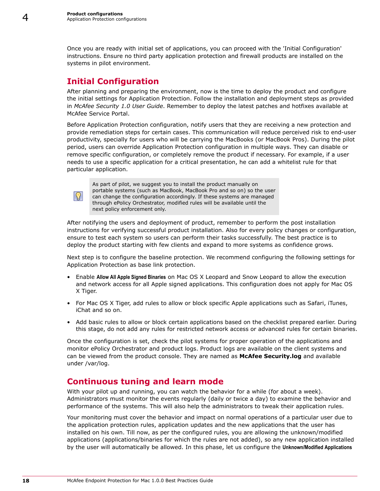<span id="page-17-0"></span>Once you are ready with initial set of applications, you can proceed with the 'Initial Configuration' instructions. Ensure no third party application protection and firewall products are installed on the systems in pilot environment.

## **Initial Configuration**

After planning and preparing the environment, now is the time to deploy the product and configure the initial settings for Application Protection. Follow the installation and deployment steps as provided in *McAfee Security 1.0 User Guide*. Remember to deploy the latest patches and hotfixes available at McAfee Service Portal.

Before Application Protection configuration, notify users that they are receiving a new protection and provide remediation steps for certain cases. This communication will reduce perceived risk to end-user productivity, specially for users who will be carrying the MacBooks (or MacBook Pros). During the pilot period, users can override Application Protection configuration in multiple ways. They can disable or remove specific configuration, or completely remove the product if necessary. For example, if a user needs to use a specific application for a critical presentation, he can add a whitelist rule for that particular application.



As part of pilot, we suggest you to install the product manually on portable systems (such as MacBook, MacBook Pro and so on) so the user can change the configuration accordingly. If these systems are managed through ePolicy Orchestrator, modified rules will be available until the next policy enforcement only.

After notifying the users and deployment of product, remember to perform the post installation instructions for verifying successful product installation. Also for every policy changes or configuration, ensure to test each system so users can perform their tasks successfully. The best practice is to deploy the product starting with few clients and expand to more systems as confidence grows.

Next step is to configure the baseline protection. We recommend configuring the following settings for Application Protection as base link protection.

- Enable **Allow All Apple Signed Binaries** on Mac OS X Leopard and Snow Leopard to allow the execution and network access for all Apple signed applications. This configuration does not apply for Mac OS X Tiger.
- For Mac OS X Tiger, add rules to allow or block specific Apple applications such as Safari, iTunes, iChat and so on.
- Add basic rules to allow or block certain applications based on the checklist prepared earlier. During this stage, do not add any rules for restricted network access or advanced rules for certain binaries.

Once the configuration is set, check the pilot systems for proper operation of the applications and monitor ePolicy Orchestrator and product logs. Product logs are available on the client systems and can be viewed from the product console. They are named as **McAfee Security.log** and available under /var/log.

## **Continuous tuning and learn mode**

With your pilot up and running, you can watch the behavior for a while (for about a week). Administrators must monitor the events regularly (daily or twice a day) to examine the behavior and performance of the systems. This will also help the administrators to tweak their application rules.

Your monitoring must cover the behavior and impact on normal operations of a particular user due to the application protection rules, application updates and the new applications that the user has installed on his own. Till now, as per the configured rules, you are allowing the unknown/modified applications (applications/binaries for which the rules are not added), so any new application installed by the user will automatically be allowed. In this phase, let us configure the **Unknown/Modified Applications**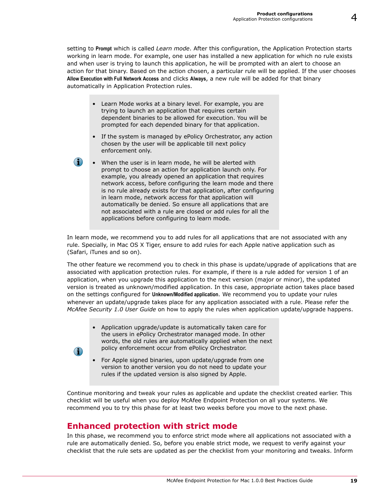<span id="page-18-0"></span>setting to **Prompt** which is called *Learn mode*. After this configuration, the Application Protection starts working in learn mode. For example, one user has installed a new application for which no rule exists and when user is trying to launch this application, he will be prompted with an alert to choose an action for that binary. Based on the action chosen, a particular rule will be applied. If the user chooses **Allow Execution with Full Network Access** and clicks **Always**, a new rule will be added for that binary automatically in Application Protection rules.

- Learn Mode works at a binary level. For example, you are trying to launch an application that requires certain dependent binaries to be allowed for execution. You will be prompted for each depended binary for that application.
- If the system is managed by ePolicy Orchestrator, any action chosen by the user will be applicable till next policy enforcement only.
- When the user is in learn mode, he will be alerted with prompt to choose an action for application launch only. For example, you already opened an application that requires network access, before configuring the learn mode and there is no rule already exists for that application, after configuring in learn mode, network access for that application will automatically be denied. So ensure all applications that are not associated with a rule are closed or add rules for all the applications before configuring to learn mode.

In learn mode, we recommend you to add rules for all applications that are not associated with any rule. Specially, in Mac OS X Tiger, ensure to add rules for each Apple native application such as (Safari, iTunes and so on).

The other feature we recommend you to check in this phase is update/upgrade of applications that are associated with application protection rules. For example, if there is a rule added for version 1 of an application, when you upgrade this application to the next version (major or minor), the updated version is treated as unknown/modified application. In this case, appropriate action takes place based on the settings configured for **Unknown/Modified application**. We recommend you to update your rules whenever an update/upgrade takes place for any application associated with a rule. Please refer the *McAfee Security 1.0 User Guide* on how to apply the rules when application update/upgrade happens.

- Application upgrade/update is automatically taken care for the users in ePolicy Orchestrator managed mode. In other words, the old rules are automatically applied when the next policy enforcement occur from ePolicy Orchestrator.
- $\bf(i)$
- For Apple signed binaries, upon update/upgrade from one version to another version you do not need to update your rules if the updated version is also signed by Apple.

Continue monitoring and tweak your rules as applicable and update the checklist created earlier. This checklist will be useful when you deploy McAfee Endpoint Protection on all your systems. We recommend you to try this phase for at least two weeks before you move to the next phase.

## **Enhanced protection with strict mode**

In this phase, we recommend you to enforce strict mode where all applications not associated with a rule are automatically denied. So, before you enable strict mode, we request to verify against your checklist that the rule sets are updated as per the checklist from your monitoring and tweaks. Inform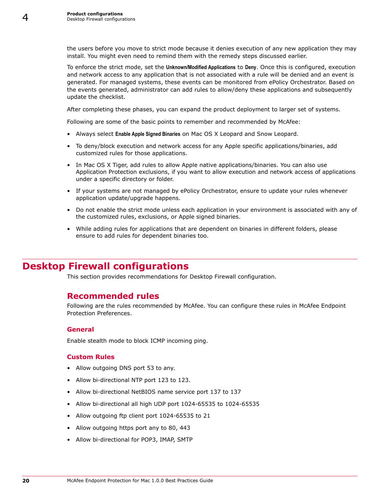<span id="page-19-0"></span>4

the users before you move to strict mode because it denies execution of any new application they may install. You might even need to remind them with the remedy steps discussed earlier.

To enforce the strict mode, set the **Unknown/Modified Applications** to **Deny**. Once this is configured, execution and network access to any application that is not associated with a rule will be denied and an event is generated. For managed systems, these events can be monitored from ePolicy Orchestrator. Based on the events generated, administrator can add rules to allow/deny these applications and subsequently update the checklist.

After completing these phases, you can expand the product deployment to larger set of systems.

Following are some of the basic points to remember and recommended by McAfee:

- Always select **Enable Apple Signed Binaries** on Mac OS X Leopard and Snow Leopard.
- To deny/block execution and network access for any Apple specific applications/binaries, add customized rules for those applications.
- In Mac OS X Tiger, add rules to allow Apple native applications/binaries. You can also use Application Protection exclusions, if you want to allow execution and network access of applications under a specific directory or folder.
- If your systems are not managed by ePolicy Orchestrator, ensure to update your rules whenever application update/upgrade happens.
- Do not enable the strict mode unless each application in your environment is associated with any of the customized rules, exclusions, or Apple signed binaries.
- While adding rules for applications that are dependent on binaries in different folders, please ensure to add rules for dependent binaries too.

## **Desktop Firewall configurations**

This section provides recommendations for Desktop Firewall configuration.

#### **Recommended rules**

Following are the rules recommended by McAfee. You can configure these rules in McAfee Endpoint Protection Preferences.

#### **General**

Enable stealth mode to block ICMP incoming ping.

#### **Custom Rules**

- Allow outgoing DNS port 53 to any.
- Allow bi-directional NTP port 123 to 123.
- Allow bi-directional NetBIOS name service port 137 to 137
- Allow bi-directional all high UDP port 1024-65535 to 1024-65535
- Allow outgoing ftp client port 1024-65535 to 21
- Allow outgoing https port any to 80, 443
- Allow bi-directional for POP3, IMAP, SMTP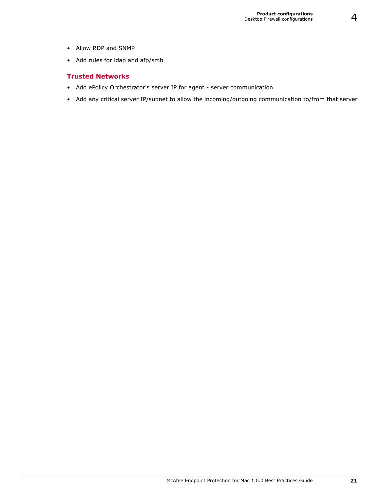- Allow RDP and SNMP
- Add rules for ldap and afp/smb

#### **Trusted Networks**

- Add ePolicy Orchestrator's server IP for agent server communication
- Add any critical server IP/subnet to allow the incoming/outgoing communication to/from that server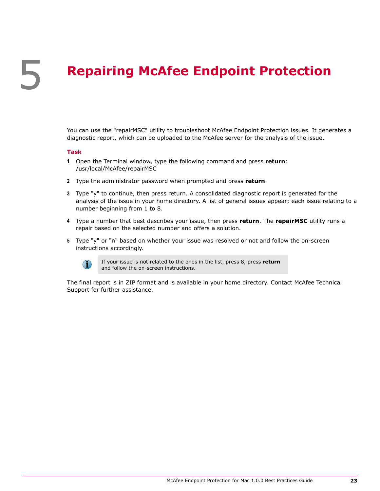# <span id="page-22-0"></span>5 **Repairing McAfee Endpoint Protection**

You can use the "repairMSC" utility to troubleshoot McAfee Endpoint Protection issues. It generates a diagnostic report, which can be uploaded to the McAfee server for the analysis of the issue.

#### **Task**

- **1** Open the Terminal window, type the following command and press **return**: /usr/local/McAfee/repairMSC
- **2** Type the administrator password when prompted and press **return**.
- **3** Type "y" to continue, then press return. A consolidated diagnostic report is generated for the analysis of the issue in your home directory. A list of general issues appear; each issue relating to a number beginning from 1 to 8.
- **4** Type a number that best describes your issue, then press **return**. The **repairMSC** utility runs a repair based on the selected number and offers a solution.
- **5** Type "y" or "n" based on whether your issue was resolved or not and follow the on-screen instructions accordingly.



If your issue is not related to the ones in the list, press 8, press **return** and follow the on-screen instructions.

The final report is in ZIP format and is available in your home directory. Contact McAfee Technical Support for further assistance.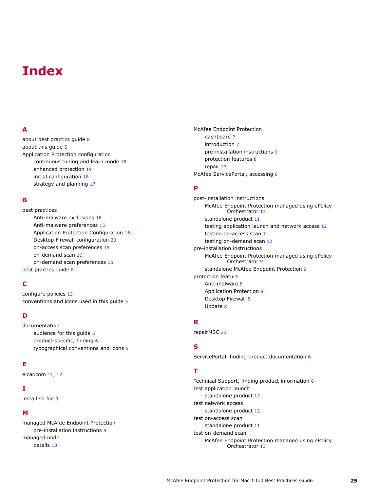## <span id="page-24-0"></span>**Index**

#### **A**

about best practics guide [8](#page-7-0) about this guide [5](#page-4-0) Application Protection configuration continuous tuning and learn mode [18](#page-17-0) enhanced protection [19](#page-18-0) initial configuration [18](#page-17-0) strategy and planning [17](#page-16-0)

#### **B**

best practices Anti-malware exclusions [16](#page-15-0) Anti-malware preferences [15](#page-14-0) Application Protection Configuration [16](#page-15-0) Desktop Firewall configuration [20](#page-19-0) on-access scan preferences [15](#page-14-0) on-demand scan [16](#page-15-0) on-demand scan preferences [15](#page-14-0) best practics guide [8](#page-7-0)

#### **C**

configure policies [13](#page-12-0) conventions and icons used in this guide [5](#page-4-0)

#### **D**

documentation audience for this guide [5](#page-4-0) product-specific, finding [6](#page-5-0) typographical conventions and icons [5](#page-4-0)

#### **E**

eicar.com [11](#page-10-0), [12](#page-11-0)

#### **I**

install.sh file [9](#page-8-0)

#### **M**

managed McAfee Endpoint Protection pre-installation instructions [9](#page-8-0) managed node details [13](#page-12-0)

McAfee Endpoint Protection dashboard [7](#page-6-0) introduction [7](#page-6-0) pre-installation instructions [9](#page-8-0) protection features [8](#page-7-0) repair [23](#page-22-0) McAfee ServicePortal, accessing [6](#page-5-0)

#### **P**

post-installation instructions McAfee Endpoint Protection managed using ePolicy Orchestrator [13](#page-12-0) standalone product [11](#page-10-0) testing application launch and network access [12](#page-11-0) testing on-access scan [11](#page-10-0) testing on-demand scan [12](#page-11-0) pre-installation instructions McAfee Endpoint Protection managed using ePolicy Orchestrator [9](#page-8-0) standalone McAfee Endpoint Protection [9](#page-8-0) protection feature Anti-malware [8](#page-7-0) Application Protection [8](#page-7-0) Desktop Firewall [8](#page-7-0) Update [8](#page-7-0)

#### **R**

repairMSC [23](#page-22-0)

#### **S**

ServicePortal, finding product documentation [6](#page-5-0)

#### **T**

Technical Support, finding product information [6](#page-5-0) test application launch standalone product [12](#page-11-0) test network access standalone product [12](#page-11-0) test on-access scan standalone product [11](#page-10-0) test on-demand scan McAfee Endpoint Protection managed using ePolicy Orchestrator [13](#page-12-0)